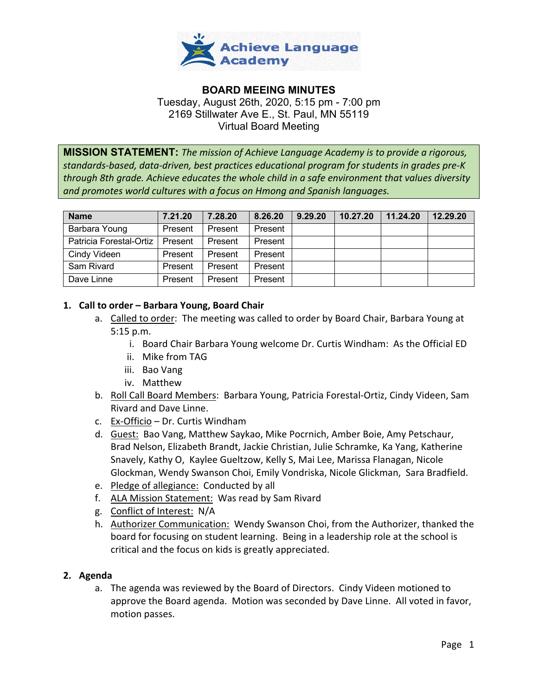

# **BOARD MEEING MINUTES**  Tuesday, August 26th, 2020, 5:15 pm - 7:00 pm 2169 Stillwater Ave E., St. Paul, MN 55119 Virtual Board Meeting

**MISSION STATEMENT:** *The mission of Achieve Language Academy is to provide a rigorous, standards-based, data-driven, best practices educational program for students in grades pre-K through 8th grade. Achieve educates the whole child in a safe environment that values diversity and promotes world cultures with a focus on Hmong and Spanish languages.*

| <b>Name</b>             | 7.21.20 | 7.28.20 | 8.26.20 | 9.29.20 | 10.27.20 | 11.24.20 | 12.29.20 |
|-------------------------|---------|---------|---------|---------|----------|----------|----------|
| Barbara Young           | Present | Present | Present |         |          |          |          |
| Patricia Forestal-Ortiz | Present | Present | Present |         |          |          |          |
| Cindy Videen            | Present | Present | Present |         |          |          |          |
| Sam Rivard              | Present | Present | Present |         |          |          |          |
| Dave Linne              | Present | Present | Present |         |          |          |          |

# **1. Call to order – Barbara Young, Board Chair**

- a. Called to order: The meeting was called to order by Board Chair, Barbara Young at 5:15 p.m.
	- i. Board Chair Barbara Young welcome Dr. Curtis Windham: As the Official ED
	- ii. Mike from TAG
	- iii. Bao Vang
	- iv. Matthew
- b. Roll Call Board Members: Barbara Young, Patricia Forestal-Ortiz, Cindy Videen, Sam Rivard and Dave Linne.
- c. Ex-Officio Dr. Curtis Windham
- d. Guest: Bao Vang, Matthew Saykao, Mike Pocrnich, Amber Boie, Amy Petschaur, Brad Nelson, Elizabeth Brandt, Jackie Christian, Julie Schramke, Ka Yang, Katherine Snavely, Kathy O, Kaylee Gueltzow, Kelly S, Mai Lee, Marissa Flanagan, Nicole Glockman, Wendy Swanson Choi, Emily Vondriska, Nicole Glickman, Sara Bradfield.
- e. Pledge of allegiance: Conducted by all
- f. ALA Mission Statement: Was read by Sam Rivard
- g. Conflict of Interest: N/A
- h. Authorizer Communication: Wendy Swanson Choi, from the Authorizer, thanked the board for focusing on student learning. Being in a leadership role at the school is critical and the focus on kids is greatly appreciated.

# **2. Agenda**

a. The agenda was reviewed by the Board of Directors. Cindy Videen motioned to approve the Board agenda. Motion was seconded by Dave Linne. All voted in favor, motion passes.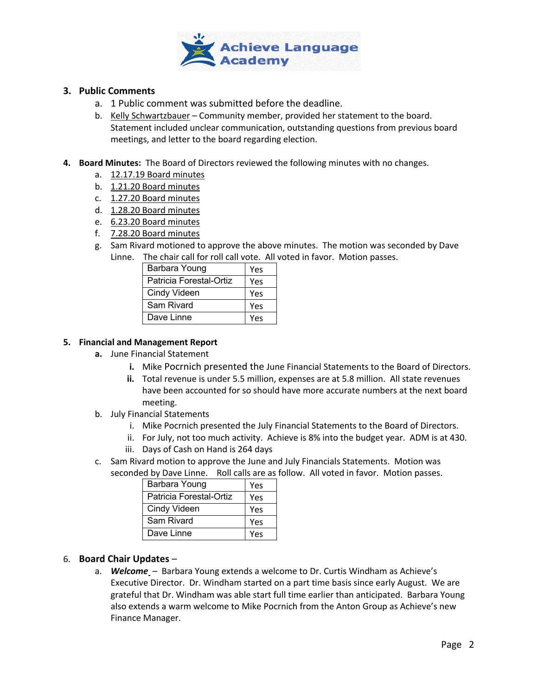

## **3. Public Comments**

- a. 1 Public comment was submitted before the deadline.
- b. Kelly Schwartzbauer Community member, provided her statement to the board. Statement included unclear communication, outstanding questions from previous board meetings, and letter to the board regarding election.
- **4. Board Minutes:** The Board of Directors reviewed the following minutes with no changes.
	- a. 12.17.19 Board minutes
	- b. 1.21.20 Board minutes
	- c. 1.27.20 Board minutes
	- d. 1.28.20 Board minutes
	- e. 6.23.20 Board minutes
	- f. 7.28.20 Board minutes
	- g. Sam Rivard motioned to approve the above minutes. The motion was seconded by Dave Linne. The chair call for roll call vote. All voted in favor. Motion passes.

| THE CHAIL CAILTUL FUILCAIL VULE. AIL V |     |  |
|----------------------------------------|-----|--|
| Barbara Young                          | Yes |  |
| Patricia Forestal-Ortiz                | Yes |  |
| Cindy Videen                           | Yes |  |
| Sam Rivard                             | Yes |  |
| Dave Linne                             | Yes |  |

### **5. Financial and Management Report**

- **a.** June Financial Statement
	- **i.** Mike Pocrnich presented the June Financial Statements to the Board of Directors.
	- **ii.** Total revenue is under 5.5 million, expenses are at 5.8 million. All state revenues have been accounted for so should have more accurate numbers at the next board meeting.
- b. July Financial Statements
	- i. Mike Pocrnich presented the July Financial Statements to the Board of Directors.
	- ii. For July, not too much activity. Achieve is 8% into the budget year. ADM is at 430.
	- iii. Days of Cash on Hand is 264 days
- c. Sam Rivard motion to approve the June and July Financials Statements. Motion was
- seconded by Dave Linne. Roll calls are as follow. All voted in favor. Motion passes.

| Barbara Young           | Yes |
|-------------------------|-----|
| Patricia Forestal-Ortiz | Yes |
| Cindy Videen            | Yes |
| Sam Rivard              | Yes |
| Dave Linne              | Yes |

# 6. **Board Chair Updates** –

a. *Welcome* – Barbara Young extends a welcome to Dr. Curtis Windham as Achieve's Executive Director. Dr. Windham started on a part time basis since early August. We are grateful that Dr. Windham was able start full time earlier than anticipated. Barbara Young also extends a warm welcome to Mike Pocrnich from the Anton Group as Achieve's new Finance Manager.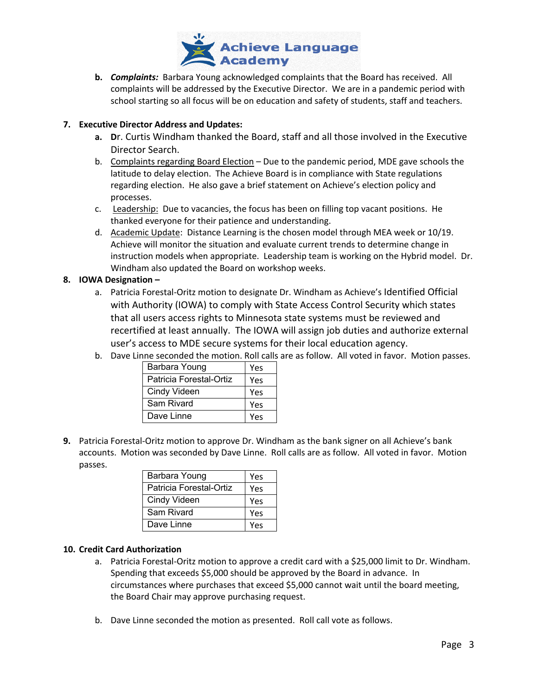

**b.** *Complaints:* Barbara Young acknowledged complaints that the Board has received. All complaints will be addressed by the Executive Director. We are in a pandemic period with school starting so all focus will be on education and safety of students, staff and teachers.

## **7. Executive Director Address and Updates:**

- **a. D**r. Curtis Windham thanked the Board, staff and all those involved in the Executive Director Search.
- b. Complaints regarding Board Election Due to the pandemic period, MDE gave schools the latitude to delay election. The Achieve Board is in compliance with State regulations regarding election. He also gave a brief statement on Achieve's election policy and processes.
- c. Leadership: Due to vacancies, the focus has been on filling top vacant positions. He thanked everyone for their patience and understanding.
- d. Academic Update: Distance Learning is the chosen model through MEA week or 10/19. Achieve will monitor the situation and evaluate current trends to determine change in instruction models when appropriate. Leadership team is working on the Hybrid model. Dr. Windham also updated the Board on workshop weeks.

# **8. IOWA Designation –**

- a. Patricia Forestal-Oritz motion to designate Dr. Windham as Achieve's Identified Official with Authority (IOWA) to comply with State Access Control Security which states that all users access rights to Minnesota state systems must be reviewed and recertified at least annually. The IOWA will assign job duties and authorize external user's access to MDE secure systems for their local education agency.
- b. Dave Linne seconded the motion. Roll calls are as follow. All voted in favor. Motion passes.

| Barbara Young           | <b>Yes</b> |
|-------------------------|------------|
| Patricia Forestal-Ortiz | Yes        |
| Cindy Videen            | Yes        |
| Sam Rivard              | Yes        |
| Dave Linne              | Yes        |

**9.** Patricia Forestal-Oritz motion to approve Dr. Windham as the bank signer on all Achieve's bank accounts. Motion was seconded by Dave Linne. Roll calls are as follow. All voted in favor. Motion passes.

| Barbara Young           | Yes |
|-------------------------|-----|
| Patricia Forestal-Ortiz | Yes |
| Cindy Videen            | Yes |
| Sam Rivard              | Yes |
| Dave Linne              | Υρς |

### **10. Credit Card Authorization**

- a. Patricia Forestal-Oritz motion to approve a credit card with a \$25,000 limit to Dr. Windham. Spending that exceeds \$5,000 should be approved by the Board in advance. In circumstances where purchases that exceed \$5,000 cannot wait until the board meeting, the Board Chair may approve purchasing request.
- b. Dave Linne seconded the motion as presented. Roll call vote as follows.